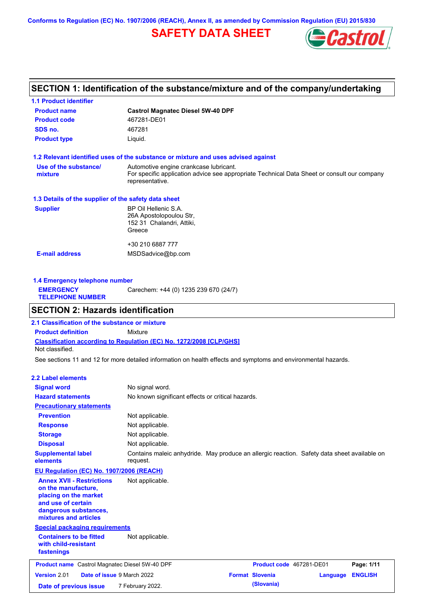**Conforms to Regulation (EC) No. 1907/2006 (REACH), Annex II, as amended by Commission Regulation (EU) 2015/830**

# **SAFETY DATA SHEET**



# **SECTION 1: Identification of the substance/mixture and of the company/undertaking**

| <b>1.1 Product identifier</b>                        |                                                                                                                                                          |
|------------------------------------------------------|----------------------------------------------------------------------------------------------------------------------------------------------------------|
| <b>Product name</b>                                  | <b>Castrol Magnatec Diesel 5W-40 DPF</b>                                                                                                                 |
| <b>Product code</b>                                  | 467281-DE01                                                                                                                                              |
| SDS no.                                              | 467281                                                                                                                                                   |
| <b>Product type</b>                                  | Liquid.                                                                                                                                                  |
|                                                      | 1.2 Relevant identified uses of the substance or mixture and uses advised against                                                                        |
| Use of the substance/<br>mixture                     | Automotive engine crankcase lubricant.<br>For specific application advice see appropriate Technical Data Sheet or consult our company<br>representative. |
| 1.3 Details of the supplier of the safety data sheet |                                                                                                                                                          |
| <b>Supplier</b>                                      | BP Oil Hellenic S.A.<br>26A Apostolopoulou Str.<br>152 31 Chalandri, Attiki,<br>Greece                                                                   |
| <b>E-mail address</b>                                | +30 210 6887 777<br>MSDSadvice@bp.com                                                                                                                    |

| Carechem: +44 (0) 1235 239 670 (24/7)<br><b>EMERGENCY</b><br><b>TELEPHONE NUMBER</b> | 1.4 Emergency telephone number |  |  |  |
|--------------------------------------------------------------------------------------|--------------------------------|--|--|--|
|                                                                                      |                                |  |  |  |

### **SECTION 2: Hazards identification**

**Classification according to Regulation (EC) No. 1272/2008 [CLP/GHS] 2.1 Classification of the substance or mixture Product definition** Mixture Not classified.

See sections 11 and 12 for more detailed information on health effects and symptoms and environmental hazards.

### **2.2 Label elements**

| <b>Signal word</b>                                                                                                                                       | No signal word.                                                                                         |                          |          |                |
|----------------------------------------------------------------------------------------------------------------------------------------------------------|---------------------------------------------------------------------------------------------------------|--------------------------|----------|----------------|
| <b>Hazard statements</b>                                                                                                                                 | No known significant effects or critical hazards.                                                       |                          |          |                |
| <b>Precautionary statements</b>                                                                                                                          |                                                                                                         |                          |          |                |
| <b>Prevention</b>                                                                                                                                        | Not applicable.                                                                                         |                          |          |                |
| <b>Response</b>                                                                                                                                          | Not applicable.                                                                                         |                          |          |                |
| <b>Storage</b>                                                                                                                                           | Not applicable.                                                                                         |                          |          |                |
| <b>Disposal</b>                                                                                                                                          | Not applicable.                                                                                         |                          |          |                |
| <b>Supplemental label</b><br>elements                                                                                                                    | Contains maleic anhydride. May produce an allergic reaction. Safety data sheet available on<br>request. |                          |          |                |
| <b>EU Regulation (EC) No. 1907/2006 (REACH)</b>                                                                                                          |                                                                                                         |                          |          |                |
| <b>Annex XVII - Restrictions</b><br>on the manufacture,<br>placing on the market<br>and use of certain<br>dangerous substances,<br>mixtures and articles | Not applicable.                                                                                         |                          |          |                |
| <b>Special packaging requirements</b>                                                                                                                    |                                                                                                         |                          |          |                |
| <b>Containers to be fitted</b><br>with child-resistant<br>fastenings                                                                                     | Not applicable.                                                                                         |                          |          |                |
| <b>Product name</b> Castrol Magnatec Diesel 5W-40 DPF                                                                                                    |                                                                                                         | Product code 467281-DE01 |          | Page: 1/11     |
| Version 2.01<br>Date of issue 9 March 2022                                                                                                               |                                                                                                         | <b>Format Slovenia</b>   | Language | <b>ENGLISH</b> |
| Date of previous issue                                                                                                                                   | 7 February 2022.                                                                                        | (Slovania)               |          |                |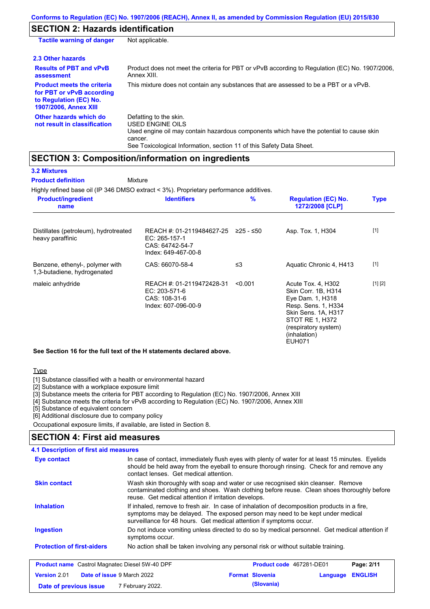# **SECTION 2: Hazards identification**

| <b>Tactile warning of danger</b>                                                                                         | Not applicable.                                                                                                                                                                                                          |
|--------------------------------------------------------------------------------------------------------------------------|--------------------------------------------------------------------------------------------------------------------------------------------------------------------------------------------------------------------------|
| 2.3 Other hazards                                                                                                        |                                                                                                                                                                                                                          |
| <b>Results of PBT and vPvB</b><br>assessment                                                                             | Product does not meet the criteria for PBT or vPvB according to Regulation (EC) No. 1907/2006,<br>Annex XIII.                                                                                                            |
| <b>Product meets the criteria</b><br>for PBT or vPvB according<br>to Regulation (EC) No.<br><b>1907/2006, Annex XIII</b> | This mixture does not contain any substances that are assessed to be a PBT or a vPvB.                                                                                                                                    |
| Other hazards which do<br>not result in classification                                                                   | Defatting to the skin.<br>USED ENGINE OILS<br>Used engine oil may contain hazardous components which have the potential to cause skin<br>cancer.<br>See Toxicological Information, section 11 of this Safety Data Sheet. |

### **SECTION 3: Composition/information on ingredients**

| <b>3.2 Mixtures</b>       |  |
|---------------------------|--|
| <b>Product definition</b> |  |

Mixture

Highly refined base oil (IP 346 DMSO extract < 3%). Proprietary performance additives.

| <b>Product/ingredient</b><br>name                              | <b>Identifiers</b>                                                                   | %         | <b>Regulation (EC) No.</b><br>1272/2008 [CLP]                                                                                                                                    | <b>Type</b> |
|----------------------------------------------------------------|--------------------------------------------------------------------------------------|-----------|----------------------------------------------------------------------------------------------------------------------------------------------------------------------------------|-------------|
| Distillates (petroleum), hydrotreated<br>heavy paraffinic      | REACH #: 01-2119484627-25<br>EC: 265-157-1<br>CAS: 64742-54-7<br>Index: 649-467-00-8 | ≥25 - ≤50 | Asp. Tox. 1, H304                                                                                                                                                                | $[1]$       |
| Benzene, ethenyl-, polymer with<br>1,3-butadiene, hydrogenated | CAS: 66070-58-4                                                                      | ≤3        | Aquatic Chronic 4, H413                                                                                                                                                          | $[1]$       |
| maleic anhydride                                               | REACH #: 01-2119472428-31<br>EC: 203-571-6<br>CAS: 108-31-6<br>Index: 607-096-00-9   | < 0.001   | Acute Tox. 4, H302<br>Skin Corr. 1B, H314<br>Eye Dam. 1, H318<br>Resp. Sens. 1, H334<br>Skin Sens. 1A, H317<br>STOT RE 1, H372<br>(respiratory system)<br>(inhalation)<br>EUH071 | [1] [2]     |

#### **See Section 16 for the full text of the H statements declared above.**

Type

[1] Substance classified with a health or environmental hazard

[2] Substance with a workplace exposure limit

[3] Substance meets the criteria for PBT according to Regulation (EC) No. 1907/2006, Annex XIII

[4] Substance meets the criteria for vPvB according to Regulation (EC) No. 1907/2006, Annex XIII

**Date of previous issue (Slovania)** 7 February 2022.

[5] Substance of equivalent concern

[6] Additional disclosure due to company policy

Occupational exposure limits, if available, are listed in Section 8.

### **SECTION 4: First aid measures**

| 4.1 Description of first aid measures                 |                                                      |                                                                                                                                                                                                                                                     |          |                |
|-------------------------------------------------------|------------------------------------------------------|-----------------------------------------------------------------------------------------------------------------------------------------------------------------------------------------------------------------------------------------------------|----------|----------------|
| Eye contact                                           | contact lenses. Get medical attention.               | In case of contact, immediately flush eyes with plenty of water for at least 15 minutes. Eyelids<br>should be held away from the eyeball to ensure thorough rinsing. Check for and remove any                                                       |          |                |
| <b>Skin contact</b>                                   | reuse. Get medical attention if irritation develops. | Wash skin thoroughly with soap and water or use recognised skin cleanser. Remove<br>contaminated clothing and shoes. Wash clothing before reuse. Clean shoes thoroughly before                                                                      |          |                |
| <b>Inhalation</b>                                     |                                                      | If inhaled, remove to fresh air. In case of inhalation of decomposition products in a fire,<br>symptoms may be delayed. The exposed person may need to be kept under medical<br>surveillance for 48 hours. Get medical attention if symptoms occur. |          |                |
| <b>Ingestion</b>                                      | symptoms occur.                                      | Do not induce vomiting unless directed to do so by medical personnel. Get medical attention if                                                                                                                                                      |          |                |
| <b>Protection of first-aiders</b>                     |                                                      | No action shall be taken involving any personal risk or without suitable training.                                                                                                                                                                  |          |                |
| <b>Product name</b> Castrol Magnatec Diesel 5W-40 DPF |                                                      | Product code 467281-DE01                                                                                                                                                                                                                            |          | Page: 2/11     |
| <b>Version 2.01</b>                                   | <b>Date of issue 9 March 2022</b>                    | <b>Format Slovenia</b>                                                                                                                                                                                                                              | Language | <b>ENGLISH</b> |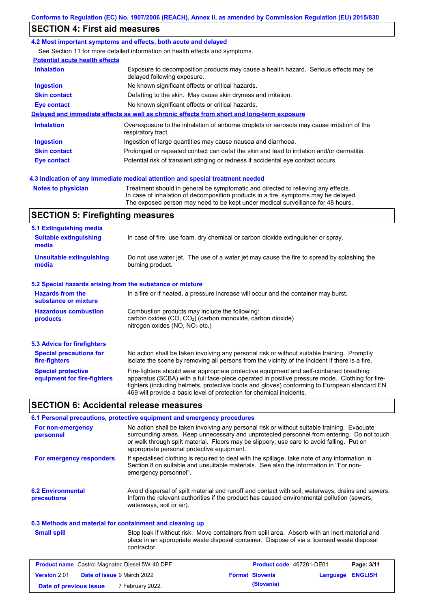### **SECTION 4: First aid measures**

#### **4.2 Most important symptoms and effects, both acute and delayed**

See Section 11 for more detailed information on health effects and symptoms.

| <b>Potential acute health effects</b> |                                                                                                                     |
|---------------------------------------|---------------------------------------------------------------------------------------------------------------------|
| <b>Inhalation</b>                     | Exposure to decomposition products may cause a health hazard. Serious effects may be<br>delayed following exposure. |
| <b>Ingestion</b>                      | No known significant effects or critical hazards.                                                                   |
| <b>Skin contact</b>                   | Defatting to the skin. May cause skin dryness and irritation.                                                       |
| Eye contact                           | No known significant effects or critical hazards.                                                                   |
|                                       | Delayed and immediate effects as well as chronic effects from short and long-term exposure                          |
| <b>Inhalation</b>                     | Overexposure to the inhalation of airborne droplets or aerosols may cause irritation of the<br>respiratory tract.   |
| <b>Ingestion</b>                      | Ingestion of large quantities may cause nausea and diarrhoea.                                                       |
| <b>Skin contact</b>                   | Prolonged or repeated contact can defat the skin and lead to irritation and/or dermatitis.                          |
| Eye contact                           | Potential risk of transient stinging or redness if accidental eye contact occurs.                                   |
|                                       |                                                                                                                     |
|                                       |                                                                                                                     |

**4.3 Indication of any immediate medical attention and special treatment needed**

**Notes to physician** Treatment should in general be symptomatic and directed to relieving any effects. In case of inhalation of decomposition products in a fire, symptoms may be delayed. The exposed person may need to be kept under medical surveillance for 48 hours.

### **SECTION 5: Firefighting measures**

| 5.1 Extinguishing media                                   |                                                                                                                                                                                                                                                                                                                                                                   |
|-----------------------------------------------------------|-------------------------------------------------------------------------------------------------------------------------------------------------------------------------------------------------------------------------------------------------------------------------------------------------------------------------------------------------------------------|
| <b>Suitable extinguishing</b><br>media                    | In case of fire, use foam, dry chemical or carbon dioxide extinguisher or spray.                                                                                                                                                                                                                                                                                  |
| <b>Unsuitable extinguishing</b><br>media                  | Do not use water jet. The use of a water jet may cause the fire to spread by splashing the<br>burning product.                                                                                                                                                                                                                                                    |
| 5.2 Special hazards arising from the substance or mixture |                                                                                                                                                                                                                                                                                                                                                                   |
| <b>Hazards from the</b><br>substance or mixture           | In a fire or if heated, a pressure increase will occur and the container may burst.                                                                                                                                                                                                                                                                               |
| <b>Hazardous combustion</b><br>products                   | Combustion products may include the following:<br>carbon oxides (CO, CO <sub>2</sub> ) (carbon monoxide, carbon dioxide)<br>nitrogen oxides (NO, NO <sub>2</sub> etc.)                                                                                                                                                                                            |
| 5.3 Advice for firefighters                               |                                                                                                                                                                                                                                                                                                                                                                   |
| <b>Special precautions for</b><br>fire-fighters           | No action shall be taken involving any personal risk or without suitable training. Promptly<br>isolate the scene by removing all persons from the vicinity of the incident if there is a fire.                                                                                                                                                                    |
| <b>Special protective</b><br>equipment for fire-fighters  | Fire-fighters should wear appropriate protective equipment and self-contained breathing<br>apparatus (SCBA) with a full face-piece operated in positive pressure mode. Clothing for fire-<br>fighters (including helmets, protective boots and gloves) conforming to European standard EN<br>469 will provide a basic level of protection for chemical incidents. |

### **SECTION 6: Accidental release measures**

|                                         | 6.1 Personal precautions, protective equipment and emergency procedures                                                                                                                                                                                                                                                             |
|-----------------------------------------|-------------------------------------------------------------------------------------------------------------------------------------------------------------------------------------------------------------------------------------------------------------------------------------------------------------------------------------|
| For non-emergency<br>personnel          | No action shall be taken involving any personal risk or without suitable training. Evacuate<br>surrounding areas. Keep unnecessary and unprotected personnel from entering. Do not touch<br>or walk through spilt material. Floors may be slippery; use care to avoid falling. Put on<br>appropriate personal protective equipment. |
| For emergency responders                | If specialised clothing is required to deal with the spillage, take note of any information in<br>Section 8 on suitable and unsuitable materials. See also the information in "For non-<br>emergency personnel".                                                                                                                    |
| <b>6.2 Environmental</b><br>precautions | Avoid dispersal of spilt material and runoff and contact with soil, waterways, drains and sewers.<br>Inform the relevant authorities if the product has caused environmental pollution (sewers,<br>waterways, soil or air).                                                                                                         |

#### **6.3 Methods and material for containment and cleaning up**

| <b>Small spill</b> |  |
|--------------------|--|
|                    |  |

Stop leak if without risk. Move containers from spill area. Absorb with an inert material and place in an appropriate waste disposal container. Dispose of via a licensed waste disposal contractor.

| <b>Product name</b> Castrol Magnatec Diesel 5W-40 DPF |  | Product code 467281-DE01          |  | Page: 3/11             |                         |  |
|-------------------------------------------------------|--|-----------------------------------|--|------------------------|-------------------------|--|
| Version 2.01                                          |  | <b>Date of issue 9 March 2022</b> |  | <b>Format Slovenia</b> | <b>Language ENGLISH</b> |  |
| Date of previous issue                                |  | 7 February 2022.                  |  | (Slovania)             |                         |  |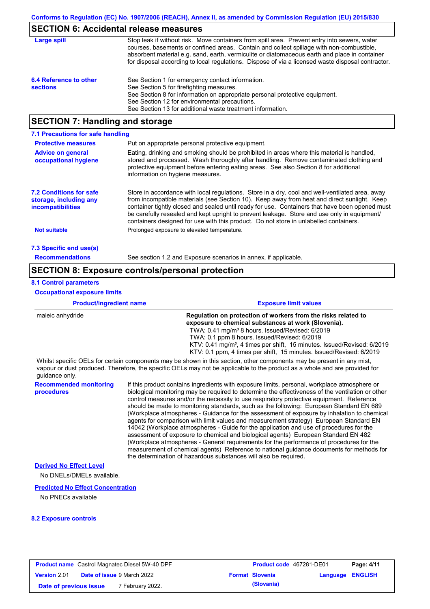### **SECTION 6: Accidental release measures**

| Large spill                               | Stop leak if without risk. Move containers from spill area. Prevent entry into sewers, water<br>courses, basements or confined areas. Contain and collect spillage with non-combustible,<br>absorbent material e.g. sand, earth, vermiculite or diatomaceous earth and place in container<br>for disposal according to local regulations. Dispose of via a licensed waste disposal contractor. |
|-------------------------------------------|------------------------------------------------------------------------------------------------------------------------------------------------------------------------------------------------------------------------------------------------------------------------------------------------------------------------------------------------------------------------------------------------|
| 6.4 Reference to other<br><b>sections</b> | See Section 1 for emergency contact information.<br>See Section 5 for firefighting measures.<br>See Section 8 for information on appropriate personal protective equipment.<br>See Section 12 for environmental precautions.<br>See Section 13 for additional waste treatment information.                                                                                                     |

### **SECTION 7: Handling and storage**

| 7.1 Precautions for safe handling                                                    |                                                                                                                                                                                                                                                                                                                                                                                                                                                                                          |
|--------------------------------------------------------------------------------------|------------------------------------------------------------------------------------------------------------------------------------------------------------------------------------------------------------------------------------------------------------------------------------------------------------------------------------------------------------------------------------------------------------------------------------------------------------------------------------------|
| <b>Protective measures</b>                                                           | Put on appropriate personal protective equipment.                                                                                                                                                                                                                                                                                                                                                                                                                                        |
| <b>Advice on general</b><br>occupational hygiene                                     | Eating, drinking and smoking should be prohibited in areas where this material is handled,<br>stored and processed. Wash thoroughly after handling. Remove contaminated clothing and<br>protective equipment before entering eating areas. See also Section 8 for additional<br>information on hygiene measures.                                                                                                                                                                         |
| <b>7.2 Conditions for safe</b><br>storage, including any<br><i>incompatibilities</i> | Store in accordance with local requlations. Store in a dry, cool and well-ventilated area, away<br>from incompatible materials (see Section 10). Keep away from heat and direct sunlight. Keep<br>container tightly closed and sealed until ready for use. Containers that have been opened must<br>be carefully resealed and kept upright to prevent leakage. Store and use only in equipment/<br>containers designed for use with this product. Do not store in unlabelled containers. |
| <b>Not suitable</b>                                                                  | Prolonged exposure to elevated temperature.                                                                                                                                                                                                                                                                                                                                                                                                                                              |
| 7.3 Specific end use(s)                                                              |                                                                                                                                                                                                                                                                                                                                                                                                                                                                                          |
| <b>Recommendations</b>                                                               | See section 1.2 and Exposure scenarios in annex, if applicable.                                                                                                                                                                                                                                                                                                                                                                                                                          |

### **SECTION 8: Exposure controls/personal protection**

### **8.1 Control parameters**

**Occupational exposure limits**

| <b>Product/ingredient name</b> | <b>Exposure limit values</b>                                                                                          |  |  |  |  |
|--------------------------------|-----------------------------------------------------------------------------------------------------------------------|--|--|--|--|
| maleic anhydride               | Regulation on protection of workers from the risks related to                                                         |  |  |  |  |
|                                | exposure to chemical substances at work (Slovenia).                                                                   |  |  |  |  |
|                                | TWA: 0.41 mg/m <sup>3</sup> 8 hours. Issued/Revised: 6/2019                                                           |  |  |  |  |
|                                | TWA: 0.1 ppm 8 hours. Issued/Revised: 6/2019                                                                          |  |  |  |  |
|                                | KTV: 0.41 mg/m <sup>3</sup> , 4 times per shift, 15 minutes. Issued/Revised: 6/2019                                   |  |  |  |  |
|                                | KTV: 0.1 ppm, 4 times per shift, 15 minutes. Issued/Revised: 6/2019                                                   |  |  |  |  |
|                                | Whilet epocitic OFLe for certain companents may be about in this section, other companents may be present in ony mist |  |  |  |  |

Whilst specific OELs for certain components may be shown in this section, other components may be present in any mist, vapour or dust produced. Therefore, the specific OELs may not be applicable to the product as a whole and are provided for guidance only.

**Recommended monitoring**  If this product contains ingredients with exposure limits, personal, workplace atmosphere or biological monitoring may be required to determine the effectiveness of the ventilation or other control measures and/or the necessity to use respiratory protective equipment. Reference should be made to monitoring standards, such as the following: European Standard EN 689 (Workplace atmospheres - Guidance for the assessment of exposure by inhalation to chemical agents for comparison with limit values and measurement strategy) European Standard EN 14042 (Workplace atmospheres - Guide for the application and use of procedures for the assessment of exposure to chemical and biological agents) European Standard EN 482 (Workplace atmospheres - General requirements for the performance of procedures for the measurement of chemical agents) Reference to national guidance documents for methods for the determination of hazardous substances will also be required.

#### **Derived No Effect Level**

**procedures**

No DNELs/DMELs available.

### **Predicted No Effect Concentration**

No PNECs available

#### **8.2 Exposure controls**

| <b>Product name</b> Castrol Magnatec Diesel 5W-40 DPF |  |                                   | <b>Product code</b> 467281-DE01 |                        | Page: 4/11              |  |
|-------------------------------------------------------|--|-----------------------------------|---------------------------------|------------------------|-------------------------|--|
| <b>Version 2.01</b>                                   |  | <b>Date of issue 9 March 2022</b> |                                 | <b>Format Slovenia</b> | <b>Language ENGLISH</b> |  |
| Date of previous issue                                |  | 7 February 2022.                  |                                 | (Slovania)             |                         |  |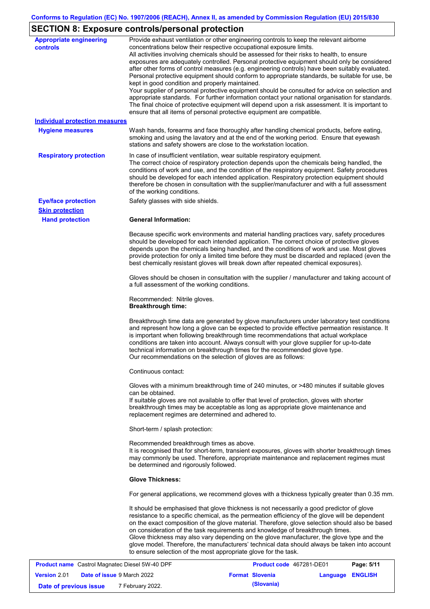# **SECTION 8: Exposure controls/personal protection**

| <b>Appropriate engineering</b><br><b>controls</b> | Provide exhaust ventilation or other engineering controls to keep the relevant airborne<br>concentrations below their respective occupational exposure limits.<br>All activities involving chemicals should be assessed for their risks to health, to ensure<br>exposures are adequately controlled. Personal protective equipment should only be considered<br>after other forms of control measures (e.g. engineering controls) have been suitably evaluated.<br>Personal protective equipment should conform to appropriate standards, be suitable for use, be<br>kept in good condition and properly maintained.<br>Your supplier of personal protective equipment should be consulted for advice on selection and<br>appropriate standards. For further information contact your national organisation for standards.<br>The final choice of protective equipment will depend upon a risk assessment. It is important to<br>ensure that all items of personal protective equipment are compatible. |  |  |  |  |  |
|---------------------------------------------------|---------------------------------------------------------------------------------------------------------------------------------------------------------------------------------------------------------------------------------------------------------------------------------------------------------------------------------------------------------------------------------------------------------------------------------------------------------------------------------------------------------------------------------------------------------------------------------------------------------------------------------------------------------------------------------------------------------------------------------------------------------------------------------------------------------------------------------------------------------------------------------------------------------------------------------------------------------------------------------------------------------|--|--|--|--|--|
| <b>Individual protection measures</b>             |                                                                                                                                                                                                                                                                                                                                                                                                                                                                                                                                                                                                                                                                                                                                                                                                                                                                                                                                                                                                         |  |  |  |  |  |
| <b>Hygiene measures</b>                           | Wash hands, forearms and face thoroughly after handling chemical products, before eating,<br>smoking and using the lavatory and at the end of the working period. Ensure that eyewash<br>stations and safety showers are close to the workstation location.                                                                                                                                                                                                                                                                                                                                                                                                                                                                                                                                                                                                                                                                                                                                             |  |  |  |  |  |
| <b>Respiratory protection</b>                     | In case of insufficient ventilation, wear suitable respiratory equipment.<br>The correct choice of respiratory protection depends upon the chemicals being handled, the<br>conditions of work and use, and the condition of the respiratory equipment. Safety procedures<br>should be developed for each intended application. Respiratory protection equipment should<br>therefore be chosen in consultation with the supplier/manufacturer and with a full assessment<br>of the working conditions.                                                                                                                                                                                                                                                                                                                                                                                                                                                                                                   |  |  |  |  |  |
| <b>Eye/face protection</b>                        | Safety glasses with side shields.                                                                                                                                                                                                                                                                                                                                                                                                                                                                                                                                                                                                                                                                                                                                                                                                                                                                                                                                                                       |  |  |  |  |  |
| <b>Skin protection</b>                            |                                                                                                                                                                                                                                                                                                                                                                                                                                                                                                                                                                                                                                                                                                                                                                                                                                                                                                                                                                                                         |  |  |  |  |  |
| <b>Hand protection</b>                            | <b>General Information:</b>                                                                                                                                                                                                                                                                                                                                                                                                                                                                                                                                                                                                                                                                                                                                                                                                                                                                                                                                                                             |  |  |  |  |  |
|                                                   | Because specific work environments and material handling practices vary, safety procedures<br>should be developed for each intended application. The correct choice of protective gloves<br>depends upon the chemicals being handled, and the conditions of work and use. Most gloves<br>provide protection for only a limited time before they must be discarded and replaced (even the<br>best chemically resistant gloves will break down after repeated chemical exposures).                                                                                                                                                                                                                                                                                                                                                                                                                                                                                                                        |  |  |  |  |  |
|                                                   | Gloves should be chosen in consultation with the supplier / manufacturer and taking account of<br>a full assessment of the working conditions.                                                                                                                                                                                                                                                                                                                                                                                                                                                                                                                                                                                                                                                                                                                                                                                                                                                          |  |  |  |  |  |
|                                                   | Recommended: Nitrile gloves.<br><b>Breakthrough time:</b>                                                                                                                                                                                                                                                                                                                                                                                                                                                                                                                                                                                                                                                                                                                                                                                                                                                                                                                                               |  |  |  |  |  |
|                                                   | Breakthrough time data are generated by glove manufacturers under laboratory test conditions<br>and represent how long a glove can be expected to provide effective permeation resistance. It<br>is important when following breakthrough time recommendations that actual workplace<br>conditions are taken into account. Always consult with your glove supplier for up-to-date<br>technical information on breakthrough times for the recommended glove type.<br>Our recommendations on the selection of gloves are as follows:                                                                                                                                                                                                                                                                                                                                                                                                                                                                      |  |  |  |  |  |
|                                                   | Continuous contact:                                                                                                                                                                                                                                                                                                                                                                                                                                                                                                                                                                                                                                                                                                                                                                                                                                                                                                                                                                                     |  |  |  |  |  |
|                                                   | Gloves with a minimum breakthrough time of 240 minutes, or >480 minutes if suitable gloves<br>can be obtained.<br>If suitable gloves are not available to offer that level of protection, gloves with shorter<br>breakthrough times may be acceptable as long as appropriate glove maintenance and<br>replacement regimes are determined and adhered to.                                                                                                                                                                                                                                                                                                                                                                                                                                                                                                                                                                                                                                                |  |  |  |  |  |
|                                                   | Short-term / splash protection:                                                                                                                                                                                                                                                                                                                                                                                                                                                                                                                                                                                                                                                                                                                                                                                                                                                                                                                                                                         |  |  |  |  |  |
|                                                   | Recommended breakthrough times as above.<br>It is recognised that for short-term, transient exposures, gloves with shorter breakthrough times<br>may commonly be used. Therefore, appropriate maintenance and replacement regimes must<br>be determined and rigorously followed.                                                                                                                                                                                                                                                                                                                                                                                                                                                                                                                                                                                                                                                                                                                        |  |  |  |  |  |
|                                                   | <b>Glove Thickness:</b>                                                                                                                                                                                                                                                                                                                                                                                                                                                                                                                                                                                                                                                                                                                                                                                                                                                                                                                                                                                 |  |  |  |  |  |
|                                                   | For general applications, we recommend gloves with a thickness typically greater than 0.35 mm.                                                                                                                                                                                                                                                                                                                                                                                                                                                                                                                                                                                                                                                                                                                                                                                                                                                                                                          |  |  |  |  |  |
|                                                   | It should be emphasised that glove thickness is not necessarily a good predictor of glove<br>resistance to a specific chemical, as the permeation efficiency of the glove will be dependent<br>on the exact composition of the glove material. Therefore, glove selection should also be based<br>on consideration of the task requirements and knowledge of breakthrough times.<br>Glove thickness may also vary depending on the glove manufacturer, the glove type and the<br>glove model. Therefore, the manufacturers' technical data should always be taken into account<br>to ensure selection of the most appropriate glove for the task.                                                                                                                                                                                                                                                                                                                                                       |  |  |  |  |  |

| <b>Product name</b> Castrol Magnatec Diesel 5W-40 DPF |  | <b>Product code</b> 467281-DE01   | Page: 5/11 |                        |                  |  |
|-------------------------------------------------------|--|-----------------------------------|------------|------------------------|------------------|--|
| <b>Version 2.01</b>                                   |  | <b>Date of issue 9 March 2022</b> |            | <b>Format Slovenia</b> | Language ENGLISH |  |
| Date of previous issue                                |  | 7 February 2022.                  |            | (Slovania)             |                  |  |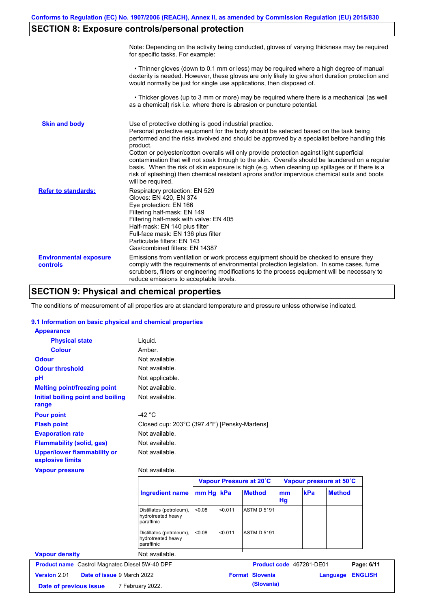# **SECTION 8: Exposure controls/personal protection**

|                                           | Note: Depending on the activity being conducted, gloves of varying thickness may be required<br>for specific tasks. For example:                                                                                                                                                                                                                                                                                                                                                                                                                                                                                                                                                      |
|-------------------------------------------|---------------------------------------------------------------------------------------------------------------------------------------------------------------------------------------------------------------------------------------------------------------------------------------------------------------------------------------------------------------------------------------------------------------------------------------------------------------------------------------------------------------------------------------------------------------------------------------------------------------------------------------------------------------------------------------|
|                                           | • Thinner gloves (down to 0.1 mm or less) may be required where a high degree of manual<br>dexterity is needed. However, these gloves are only likely to give short duration protection and<br>would normally be just for single use applications, then disposed of.                                                                                                                                                                                                                                                                                                                                                                                                                  |
|                                           | • Thicker gloves (up to 3 mm or more) may be required where there is a mechanical (as well<br>as a chemical) risk i.e. where there is abrasion or puncture potential.                                                                                                                                                                                                                                                                                                                                                                                                                                                                                                                 |
| <b>Skin and body</b>                      | Use of protective clothing is good industrial practice.<br>Personal protective equipment for the body should be selected based on the task being<br>performed and the risks involved and should be approved by a specialist before handling this<br>product.<br>Cotton or polyester/cotton overalls will only provide protection against light superficial<br>contamination that will not soak through to the skin. Overalls should be laundered on a regular<br>basis. When the risk of skin exposure is high (e.g. when cleaning up spillages or if there is a<br>risk of splashing) then chemical resistant aprons and/or impervious chemical suits and boots<br>will be required. |
| <b>Refer to standards:</b>                | Respiratory protection: EN 529<br>Gloves: EN 420, EN 374<br>Eye protection: EN 166<br>Filtering half-mask: EN 149<br>Filtering half-mask with valve: EN 405<br>Half-mask: EN 140 plus filter<br>Full-face mask: EN 136 plus filter<br>Particulate filters: EN 143<br>Gas/combined filters: EN 14387                                                                                                                                                                                                                                                                                                                                                                                   |
| <b>Environmental exposure</b><br>controls | Emissions from ventilation or work process equipment should be checked to ensure they<br>comply with the requirements of environmental protection legislation. In some cases, fume<br>scrubbers, filters or engineering modifications to the process equipment will be necessary to<br>reduce emissions to acceptable levels.                                                                                                                                                                                                                                                                                                                                                         |

# **SECTION 9: Physical and chemical properties**

The conditions of measurement of all properties are at standard temperature and pressure unless otherwise indicated.

### **9.1 Information on basic physical and chemical properties**

| <b>Appearance</b>                                      |                                                              |           |         |                         |          |                          |                         |                |
|--------------------------------------------------------|--------------------------------------------------------------|-----------|---------|-------------------------|----------|--------------------------|-------------------------|----------------|
| <b>Physical state</b>                                  | Liquid.                                                      |           |         |                         |          |                          |                         |                |
| <b>Colour</b>                                          | Amber.                                                       |           |         |                         |          |                          |                         |                |
| <b>Odour</b>                                           | Not available.                                               |           |         |                         |          |                          |                         |                |
| <b>Odour threshold</b>                                 | Not available.                                               |           |         |                         |          |                          |                         |                |
| pH                                                     | Not applicable.                                              |           |         |                         |          |                          |                         |                |
| <b>Melting point/freezing point</b>                    | Not available.                                               |           |         |                         |          |                          |                         |                |
| Initial boiling point and boiling<br>range             | Not available.                                               |           |         |                         |          |                          |                         |                |
| <b>Pour point</b>                                      | $-42 °C$                                                     |           |         |                         |          |                          |                         |                |
| <b>Flash point</b>                                     | Closed cup: 203°C (397.4°F) [Pensky-Martens]                 |           |         |                         |          |                          |                         |                |
| <b>Evaporation rate</b>                                | Not available.                                               |           |         |                         |          |                          |                         |                |
| <b>Flammability (solid, gas)</b>                       | Not available.                                               |           |         |                         |          |                          |                         |                |
| <b>Upper/lower flammability or</b><br>explosive limits | Not available.                                               |           |         |                         |          |                          |                         |                |
| <b>Vapour pressure</b>                                 | Not available.                                               |           |         |                         |          |                          |                         |                |
|                                                        |                                                              |           |         | Vapour Pressure at 20°C |          |                          | Vapour pressure at 50°C |                |
|                                                        | <b>Ingredient name</b>                                       | mm Hg kPa |         | <b>Method</b>           | mm<br>Hg | kPa                      | <b>Method</b>           |                |
|                                                        | Distillates (petroleum),<br>hydrotreated heavy<br>paraffinic | < 0.08    | < 0.011 | <b>ASTM D 5191</b>      |          |                          |                         |                |
|                                                        | Distillates (petroleum),<br>hydrotreated heavy<br>paraffinic | < 0.08    | < 0.011 | <b>ASTM D 5191</b>      |          |                          |                         |                |
| <b>Vapour density</b>                                  | Not available.                                               |           |         |                         |          |                          |                         |                |
| <b>Product name</b> Castrol Magnatec Diesel 5W-40 DPF  |                                                              |           |         |                         |          | Product code 467281-DE01 |                         | Page: 6/11     |
|                                                        |                                                              |           |         |                         |          |                          |                         |                |
| Version 2.01<br>Date of issue 9 March 2022             |                                                              |           |         | <b>Format Slovenia</b>  |          |                          |                         | <b>ENGLISH</b> |
| Date of previous issue                                 | 7 February 2022.                                             |           |         | (Slovania)              |          |                          | Language                |                |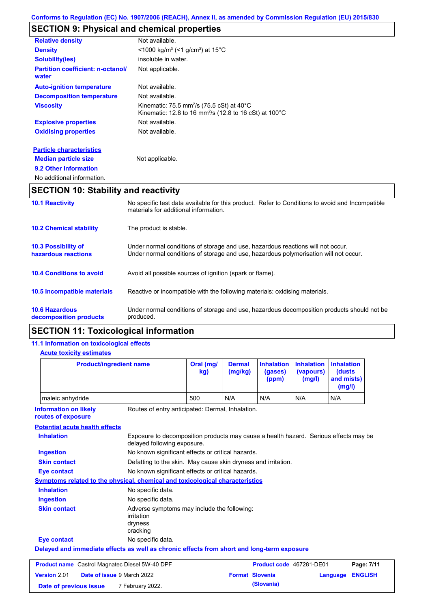# **SECTION 9: Physical and chemical properties**

| <b>Relative density</b>                           | Not available.                                                                                                                                    |
|---------------------------------------------------|---------------------------------------------------------------------------------------------------------------------------------------------------|
| <b>Density</b>                                    | <1000 kg/m <sup>3</sup> (<1 g/cm <sup>3</sup> ) at 15 <sup>°</sup> C                                                                              |
| Solubility(ies)                                   | insoluble in water.                                                                                                                               |
| <b>Partition coefficient: n-octanol/</b><br>water | Not applicable.                                                                                                                                   |
| <b>Auto-ignition temperature</b>                  | Not available.                                                                                                                                    |
| <b>Decomposition temperature</b>                  | Not available.                                                                                                                                    |
| <b>Viscosity</b>                                  | Kinematic: 75.5 mm <sup>2</sup> /s (75.5 cSt) at 40 $^{\circ}$ C<br>Kinematic: 12.8 to 16 mm <sup>2</sup> /s (12.8 to 16 cSt) at 100 $^{\circ}$ C |
| <b>Explosive properties</b>                       | Not available.                                                                                                                                    |
| <b>Oxidising properties</b>                       | Not available.                                                                                                                                    |
| <b>Particle characteristics</b>                   |                                                                                                                                                   |
| <b>Median particle size</b>                       | Not applicable.                                                                                                                                   |

**9.2 Other information**

```
No additional information.
```
# **SECTION 10: Stability and reactivity**

| <b>10.1 Reactivity</b>                            | No specific test data available for this product. Refer to Conditions to avoid and Incompatible<br>materials for additional information.                                |  |  |  |
|---------------------------------------------------|-------------------------------------------------------------------------------------------------------------------------------------------------------------------------|--|--|--|
| <b>10.2 Chemical stability</b>                    | The product is stable.                                                                                                                                                  |  |  |  |
| <b>10.3 Possibility of</b><br>hazardous reactions | Under normal conditions of storage and use, hazardous reactions will not occur.<br>Under normal conditions of storage and use, hazardous polymerisation will not occur. |  |  |  |
| <b>10.4 Conditions to avoid</b>                   | Avoid all possible sources of ignition (spark or flame).                                                                                                                |  |  |  |
| 10.5 Incompatible materials                       | Reactive or incompatible with the following materials: oxidising materials.                                                                                             |  |  |  |
| <b>10.6 Hazardous</b><br>decomposition products   | Under normal conditions of storage and use, hazardous decomposition products should not be<br>produced.                                                                 |  |  |  |

### **SECTION 11: Toxicological information**

### **11.1 Information on toxicological effects**

### **Acute toxicity estimates**

| <b>Product/ingredient name</b>                                                                         |                                                                                                                     | Oral (mg/<br>kg) | <b>Dermal</b><br>(mg/kg)                                      | <b>Inhalation</b><br>(gases)<br>(ppm) | <b>Inhalation</b><br>(vapours)<br>(mg/l) | <b>Inhalation</b><br>(dusts<br>and mists)<br>(mg/l) |                |
|--------------------------------------------------------------------------------------------------------|---------------------------------------------------------------------------------------------------------------------|------------------|---------------------------------------------------------------|---------------------------------------|------------------------------------------|-----------------------------------------------------|----------------|
| maleic anhydride                                                                                       |                                                                                                                     | 500              | N/A                                                           | N/A                                   | N/A                                      | N/A                                                 |                |
| <b>Information on likely</b><br>Routes of entry anticipated: Dermal, Inhalation.<br>routes of exposure |                                                                                                                     |                  |                                                               |                                       |                                          |                                                     |                |
| <b>Potential acute health effects</b>                                                                  |                                                                                                                     |                  |                                                               |                                       |                                          |                                                     |                |
| <b>Inhalation</b>                                                                                      | Exposure to decomposition products may cause a health hazard. Serious effects may be<br>delayed following exposure. |                  |                                                               |                                       |                                          |                                                     |                |
| <b>Ingestion</b>                                                                                       | No known significant effects or critical hazards.                                                                   |                  |                                                               |                                       |                                          |                                                     |                |
| <b>Skin contact</b>                                                                                    |                                                                                                                     |                  | Defatting to the skin. May cause skin dryness and irritation. |                                       |                                          |                                                     |                |
| <b>Eye contact</b>                                                                                     | No known significant effects or critical hazards.                                                                   |                  |                                                               |                                       |                                          |                                                     |                |
| Symptoms related to the physical, chemical and toxicological characteristics                           |                                                                                                                     |                  |                                                               |                                       |                                          |                                                     |                |
| <b>Inhalation</b>                                                                                      | No specific data.                                                                                                   |                  |                                                               |                                       |                                          |                                                     |                |
| <b>Ingestion</b>                                                                                       | No specific data.                                                                                                   |                  |                                                               |                                       |                                          |                                                     |                |
| <b>Skin contact</b>                                                                                    | Adverse symptoms may include the following:<br>irritation<br>dryness<br>cracking                                    |                  |                                                               |                                       |                                          |                                                     |                |
| <b>Eye contact</b>                                                                                     | No specific data.                                                                                                   |                  |                                                               |                                       |                                          |                                                     |                |
| Delayed and immediate effects as well as chronic effects from short and long-term exposure             |                                                                                                                     |                  |                                                               |                                       |                                          |                                                     |                |
| <b>Product name</b> Castrol Magnatec Diesel 5W-40 DPF                                                  |                                                                                                                     |                  |                                                               | Product code 467281-DE01              |                                          |                                                     | Page: 7/11     |
| Version 2.01<br>Date of issue 9 March 2022                                                             |                                                                                                                     |                  | <b>Format Slovenia</b>                                        |                                       |                                          | Language                                            | <b>ENGLISH</b> |
| Date of previous issue                                                                                 | 7 February 2022.                                                                                                    |                  |                                                               | (Slovania)                            |                                          |                                                     |                |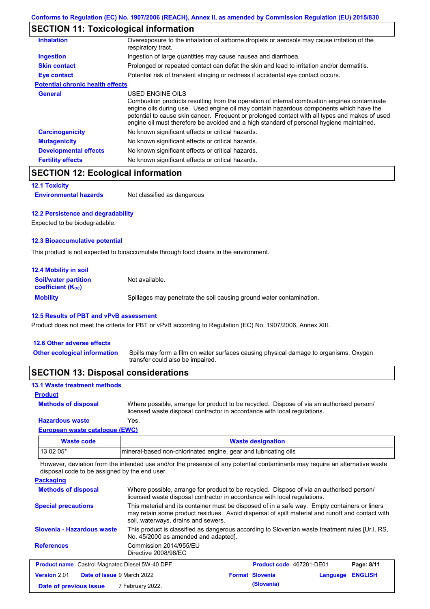### **SECTION 11: Toxicological information**

| <b>Inhalation</b>                       | Overexposure to the inhalation of airborne droplets or aerosols may cause irritation of the<br>respiratory tract.                                                                                                                                                                                                                                                                                        |  |  |  |
|-----------------------------------------|----------------------------------------------------------------------------------------------------------------------------------------------------------------------------------------------------------------------------------------------------------------------------------------------------------------------------------------------------------------------------------------------------------|--|--|--|
| <b>Ingestion</b>                        | Ingestion of large quantities may cause nausea and diarrhoea.                                                                                                                                                                                                                                                                                                                                            |  |  |  |
| <b>Skin contact</b>                     | Prolonged or repeated contact can defat the skin and lead to irritation and/or dermatitis.                                                                                                                                                                                                                                                                                                               |  |  |  |
| Eye contact                             | Potential risk of transient stinging or redness if accidental eye contact occurs.                                                                                                                                                                                                                                                                                                                        |  |  |  |
| <b>Potential chronic health effects</b> |                                                                                                                                                                                                                                                                                                                                                                                                          |  |  |  |
| General                                 | USED ENGINE OILS<br>Combustion products resulting from the operation of internal combustion engines contaminate<br>engine oils during use. Used engine oil may contain hazardous components which have the<br>potential to cause skin cancer. Frequent or prolonged contact with all types and makes of used<br>engine oil must therefore be avoided and a high standard of personal hygiene maintained. |  |  |  |
| <b>Carcinogenicity</b>                  | No known significant effects or critical hazards.                                                                                                                                                                                                                                                                                                                                                        |  |  |  |
| <b>Mutagenicity</b>                     | No known significant effects or critical hazards.                                                                                                                                                                                                                                                                                                                                                        |  |  |  |
| <b>Developmental effects</b>            | No known significant effects or critical hazards.                                                                                                                                                                                                                                                                                                                                                        |  |  |  |
| <b>Fertility effects</b>                | No known significant effects or critical hazards.                                                                                                                                                                                                                                                                                                                                                        |  |  |  |

# **SECTION 12: Ecological information**

```
12.1 Toxicity
```
**Environmental hazards** Not classified as dangerous

#### **12.2 Persistence and degradability**

Expected to be biodegradable.

#### **12.3 Bioaccumulative potential**

This product is not expected to bioaccumulate through food chains in the environment.

| <b>12.4 Mobility in soil</b>                                  |                                                                      |
|---------------------------------------------------------------|----------------------------------------------------------------------|
| <b>Soil/water partition</b><br>coefficient (K <sub>oc</sub> ) | Not available.                                                       |
| <b>Mobility</b>                                               | Spillages may penetrate the soil causing ground water contamination. |

### **12.5 Results of PBT and vPvB assessment**

Product does not meet the criteria for PBT or vPvB according to Regulation (EC) No. 1907/2006, Annex XIII.

### **12.6 Other adverse effects**

Spills may form a film on water surfaces causing physical damage to organisms. Oxygen transfer could also be impaired. **Other ecological information**

### **SECTION 13: Disposal considerations**

### **13.1 Waste treatment methods**

#### **Product**

**Methods of disposal**

Where possible, arrange for product to be recycled. Dispose of via an authorised person/ licensed waste disposal contractor in accordance with local regulations.

### **European waste catalogue (EWC) Hazardous waste** Yes.

| Waste code | <b>Waste designation</b>                                         |
|------------|------------------------------------------------------------------|
| $130205*$  | Imineral-based non-chlorinated engine, gear and lubricating oils |

However, deviation from the intended use and/or the presence of any potential contaminants may require an alternative waste disposal code to be assigned by the end user.

**Packaging**

| <b>Fachayling</b>                                     |                                                                                                                                                                                                                                                                                                                                                                                    |                          |          |                |
|-------------------------------------------------------|------------------------------------------------------------------------------------------------------------------------------------------------------------------------------------------------------------------------------------------------------------------------------------------------------------------------------------------------------------------------------------|--------------------------|----------|----------------|
| <b>Methods of disposal</b>                            | Where possible, arrange for product to be recycled. Dispose of via an authorised person/<br>licensed waste disposal contractor in accordance with local regulations.                                                                                                                                                                                                               |                          |          |                |
| <b>Special precautions</b>                            | This material and its container must be disposed of in a safe way. Empty containers or liners<br>may retain some product residues. Avoid dispersal of spilt material and runoff and contact with<br>soil, waterways, drains and sewers.<br>This product is classified as dangerous according to Slovenian waste treatment rules [Ur.l. RS,<br>No. 45/2000 as amended and adapted]. |                          |          |                |
| Slovenia - Hazardous waste                            |                                                                                                                                                                                                                                                                                                                                                                                    |                          |          |                |
| <b>References</b>                                     | Commission 2014/955/EU<br>Directive 2008/98/EC                                                                                                                                                                                                                                                                                                                                     |                          |          |                |
| <b>Product name</b> Castrol Magnatec Diesel 5W-40 DPF |                                                                                                                                                                                                                                                                                                                                                                                    | Product code 467281-DE01 |          | Page: 8/11     |
| Version 2.01<br>Date of issue 9 March 2022            |                                                                                                                                                                                                                                                                                                                                                                                    | <b>Format Slovenia</b>   | Language | <b>ENGLISH</b> |
| Date of previous issue                                | 7 February 2022.                                                                                                                                                                                                                                                                                                                                                                   | (Slovania)               |          |                |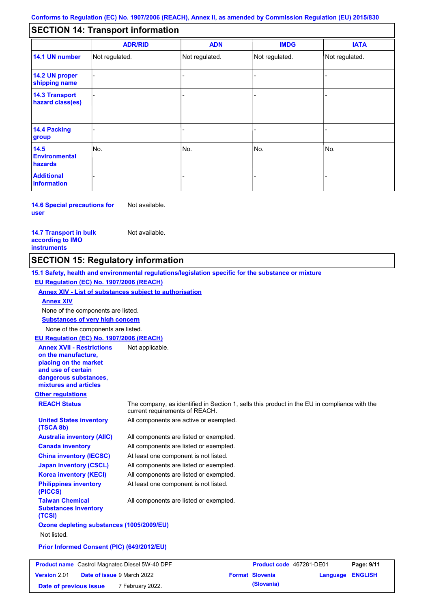#### - - - - - - - - - Not regulated. Not regulated. Not regulated. - - - **SECTION 14: Transport information ADR/RID IMDG IATA 14.1 UN number 14.2 UN proper shipping name 14.3 Transport hazard class(es) 14.4 Packing group ADN Additional information 14.5 Environmental hazards** No. 1980 | No. 1980 | No. 1980 | No. 1980 | No. 1980 | No. 1980 | No. 1980 | No. 1980 | No. 1980 | No. 1980 | Not regulated. - -<br>No. - -

**14.6 Special precautions for user** Not available.

#### **14.7 Transport in bulk according to IMO instruments**

**Version** 2.01

Not available.

### **SECTION 15: Regulatory information**

**Other regulations REACH Status** The company, as identified in Section 1, sells this product in the EU in compliance with the current requirements of REACH. **15.1 Safety, health and environmental regulations/legislation specific for the substance or mixture EU Regulation (EC) No. 1907/2006 (REACH) Annex XIV - List of substances subject to authorisation Substances of very high concern** None of the components are listed. All components are listed or exempted. All components are listed or exempted. At least one component is not listed. All components are listed or exempted. All components are active or exempted. All components are listed or exempted. At least one component is not listed. **United States inventory (TSCA 8b) Australia inventory (AIIC) Canada inventory China inventory (IECSC) Japan inventory (CSCL) Korea inventory (KECI) Philippines inventory (PICCS) Taiwan Chemical Substances Inventory (TCSI)** All components are listed or exempted. **Ozone depleting substances (1005/2009/EU)** Not listed. **Prior Informed Consent (PIC) (649/2012/EU)** None of the components are listed. **Annex XIV EU Regulation (EC) No. 1907/2006 (REACH) Annex XVII - Restrictions on the manufacture, placing on the market and use of certain dangerous substances, mixtures and articles** Not applicable. **Product name** Castrol Magnatec Diesel 5W-40 DPF **Product Code 467281-DE01 Page: 9/11** 

**Date of issue** 9 March 2022 **Format Slovenia Language ENGLISH Date of previous issue (Slovania)** 7 February 2022.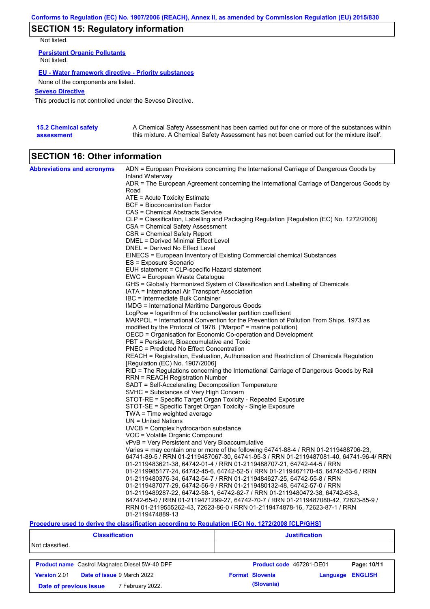# **SECTION 15: Regulatory information**

Not listed.

**Persistent Organic Pollutants** Not listed.

### **EU - Water framework directive - Priority substances**

None of the components are listed.

### **Seveso Directive**

This product is not controlled under the Seveso Directive.

| <b>15.2 Chemical safety</b> | A Chemical Safety Assessment has been carried out for one or more of the substances within  |
|-----------------------------|---------------------------------------------------------------------------------------------|
| assessment                  | this mixture. A Chemical Safety Assessment has not been carried out for the mixture itself. |

# **SECTION 16: Other information**

| <b>Abbreviations and acronyms</b> | ADN = European Provisions concerning the International Carriage of Dangerous Goods by                                                                    |
|-----------------------------------|----------------------------------------------------------------------------------------------------------------------------------------------------------|
|                                   | Inland Waterway<br>ADR = The European Agreement concerning the International Carriage of Dangerous Goods by                                              |
|                                   | Road                                                                                                                                                     |
|                                   | ATE = Acute Toxicity Estimate                                                                                                                            |
|                                   | <b>BCF</b> = Bioconcentration Factor                                                                                                                     |
|                                   | CAS = Chemical Abstracts Service                                                                                                                         |
|                                   | CLP = Classification, Labelling and Packaging Regulation [Regulation (EC) No. 1272/2008]                                                                 |
|                                   | CSA = Chemical Safety Assessment                                                                                                                         |
|                                   | CSR = Chemical Safety Report                                                                                                                             |
|                                   | DMEL = Derived Minimal Effect Level                                                                                                                      |
|                                   | DNEL = Derived No Effect Level                                                                                                                           |
|                                   | EINECS = European Inventory of Existing Commercial chemical Substances                                                                                   |
|                                   | ES = Exposure Scenario                                                                                                                                   |
|                                   | EUH statement = CLP-specific Hazard statement                                                                                                            |
|                                   | EWC = European Waste Catalogue                                                                                                                           |
|                                   | GHS = Globally Harmonized System of Classification and Labelling of Chemicals                                                                            |
|                                   | IATA = International Air Transport Association                                                                                                           |
|                                   | IBC = Intermediate Bulk Container                                                                                                                        |
|                                   | IMDG = International Maritime Dangerous Goods                                                                                                            |
|                                   | LogPow = logarithm of the octanol/water partition coefficient                                                                                            |
|                                   | MARPOL = International Convention for the Prevention of Pollution From Ships, 1973 as<br>modified by the Protocol of 1978. ("Marpol" = marine pollution) |
|                                   | OECD = Organisation for Economic Co-operation and Development                                                                                            |
|                                   | PBT = Persistent, Bioaccumulative and Toxic                                                                                                              |
|                                   | <b>PNEC</b> = Predicted No Effect Concentration                                                                                                          |
|                                   | REACH = Registration, Evaluation, Authorisation and Restriction of Chemicals Regulation                                                                  |
|                                   | [Regulation (EC) No. 1907/2006]                                                                                                                          |
|                                   | RID = The Regulations concerning the International Carriage of Dangerous Goods by Rail                                                                   |
|                                   | RRN = REACH Registration Number                                                                                                                          |
|                                   | SADT = Self-Accelerating Decomposition Temperature                                                                                                       |
|                                   | SVHC = Substances of Very High Concern                                                                                                                   |
|                                   | STOT-RE = Specific Target Organ Toxicity - Repeated Exposure                                                                                             |
|                                   | STOT-SE = Specific Target Organ Toxicity - Single Exposure                                                                                               |
|                                   | TWA = Time weighted average                                                                                                                              |
|                                   | $UN = United Nations$                                                                                                                                    |
|                                   | UVCB = Complex hydrocarbon substance                                                                                                                     |
|                                   | VOC = Volatile Organic Compound                                                                                                                          |
|                                   | vPvB = Very Persistent and Very Bioaccumulative                                                                                                          |
|                                   | Varies = may contain one or more of the following 64741-88-4 / RRN 01-2119488706-23,                                                                     |
|                                   | 64741-89-5 / RRN 01-2119487067-30, 64741-95-3 / RRN 01-2119487081-40, 64741-96-4/ RRN                                                                    |
|                                   | 01-2119483621-38, 64742-01-4 / RRN 01-2119488707-21, 64742-44-5 / RRN                                                                                    |
|                                   | 01-2119985177-24, 64742-45-6, 64742-52-5 / RRN 01-2119467170-45, 64742-53-6 / RRN                                                                        |
|                                   | 01-2119480375-34, 64742-54-7 / RRN 01-2119484627-25, 64742-55-8 / RRN                                                                                    |
|                                   | 01-2119487077-29, 64742-56-9 / RRN 01-2119480132-48, 64742-57-0 / RRN<br>01-2119489287-22, 64742-58-1, 64742-62-7 / RRN 01-2119480472-38, 64742-63-8,    |
|                                   | 64742-65-0 / RRN 01-2119471299-27, 64742-70-7 / RRN 01-2119487080-42, 72623-85-9 /                                                                       |
|                                   | RRN 01-2119555262-43, 72623-86-0 / RRN 01-2119474878-16, 72623-87-1 / RRN                                                                                |
|                                   | 01-2119474889-13                                                                                                                                         |
|                                   |                                                                                                                                                          |

### **Procedure used to derive the classification according to Regulation (EC) No. 1272/2008 [CLP/GHS]**

| <b>Classification</b>                                 | <b>Justification</b>                                 |  |  |  |
|-------------------------------------------------------|------------------------------------------------------|--|--|--|
| Not classified.                                       |                                                      |  |  |  |
| <b>Product name</b> Castrol Magnatec Diesel 5W-40 DPF | Product code 467281-DE01<br>Page: 10/11              |  |  |  |
| <b>Date of issue 9 March 2022</b><br>Version 2.01     | <b>Format Slovenia</b><br><b>ENGLISH</b><br>Language |  |  |  |
| 7 February 2022.<br>Date of previous issue            | (Slovania)                                           |  |  |  |